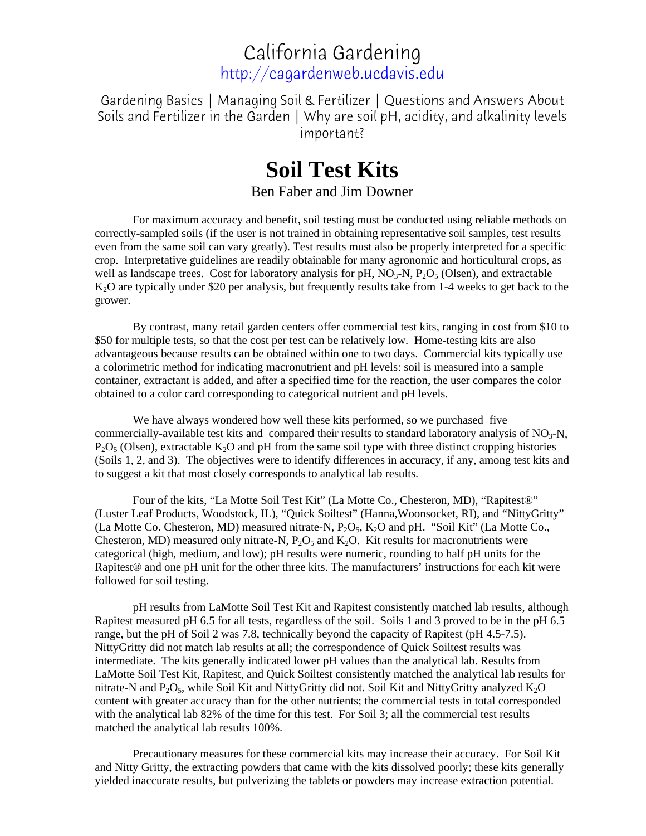California Gardening [http://cagardenweb.ucdavis.edu](http://cagardenweb.ucdavis.edu/)

Gardening Basics | Managing Soil & Fertilizer | Questions and Answers About Soils and Fertilizer in the Garden | Why are soil pH, acidity, and alkalinity levels important?

## **Soil Test Kits**

Ben Faber and Jim Downer

For maximum accuracy and benefit, soil testing must be conducted using reliable methods on correctly-sampled soils (if the user is not trained in obtaining representative soil samples, test results even from the same soil can vary greatly). Test results must also be properly interpreted for a specific crop. Interpretative guidelines are readily obtainable for many agronomic and horticultural crops, as well as landscape trees. Cost for laboratory analysis for  $pH$ ,  $NO<sub>3</sub>-N$ ,  $P<sub>2</sub>O<sub>5</sub>$  (Olsen), and extractable K<sub>2</sub>O are typically under \$20 per analysis, but frequently results take from 1-4 weeks to get back to the grower.

By contrast, many retail garden centers offer commercial test kits, ranging in cost from \$10 to \$50 for multiple tests, so that the cost per test can be relatively low. Home-testing kits are also advantageous because results can be obtained within one to two days. Commercial kits typically use a colorimetric method for indicating macronutrient and pH levels: soil is measured into a sample container, extractant is added, and after a specified time for the reaction, the user compares the color obtained to a color card corresponding to categorical nutrient and pH levels.

We have always wondered how well these kits performed, so we purchased five commercially-available test kits and compared their results to standard laboratory analysis of  $NO<sub>3</sub>-N$ ,  $P_2O_5$  (Olsen), extractable K<sub>2</sub>O and pH from the same soil type with three distinct cropping histories (Soils 1, 2, and 3). The objectives were to identify differences in accuracy, if any, among test kits and to suggest a kit that most closely corresponds to analytical lab results.

Four of the kits, "La Motte Soil Test Kit" (La Motte Co., Chesteron, MD), "Rapitest®" (Luster Leaf Products, Woodstock, IL), "Quick Soiltest" (Hanna,Woonsocket, RI), and "NittyGritty" (La Motte Co. Chesteron, MD) measured nitrate-N,  $P_2O_5$ ,  $K_2O$  and pH. "Soil Kit" (La Motte Co., Chesteron, MD) measured only nitrate-N,  $P_2O_5$  and  $K_2O$ . Kit results for macronutrients were categorical (high, medium, and low); pH results were numeric, rounding to half pH units for the Rapitest® and one pH unit for the other three kits. The manufacturers' instructions for each kit were followed for soil testing.

pH results from LaMotte Soil Test Kit and Rapitest consistently matched lab results, although Rapitest measured pH 6.5 for all tests, regardless of the soil. Soils 1 and 3 proved to be in the pH 6.5 range, but the pH of Soil 2 was 7.8, technically beyond the capacity of Rapitest (pH 4.5-7.5). NittyGritty did not match lab results at all; the correspondence of Quick Soiltest results was intermediate. The kits generally indicated lower pH values than the analytical lab. Results from LaMotte Soil Test Kit, Rapitest, and Quick Soiltest consistently matched the analytical lab results for nitrate-N and  $P_2O_5$ , while Soil Kit and NittyGritty did not. Soil Kit and NittyGritty analyzed  $K_2O$ content with greater accuracy than for the other nutrients; the commercial tests in total corresponded with the analytical lab 82% of the time for this test. For Soil 3; all the commercial test results matched the analytical lab results 100%.

Precautionary measures for these commercial kits may increase their accuracy. For Soil Kit and Nitty Gritty, the extracting powders that came with the kits dissolved poorly; these kits generally yielded inaccurate results, but pulverizing the tablets or powders may increase extraction potential.